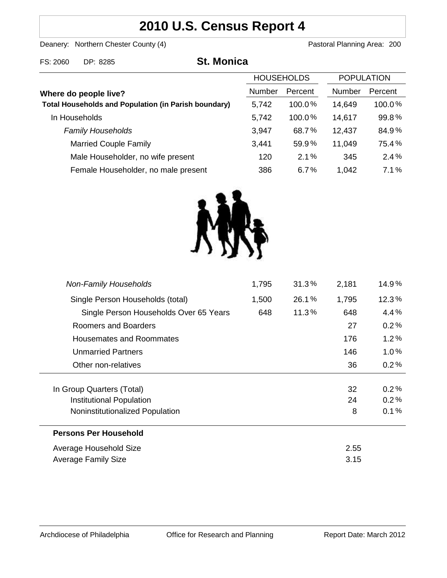# **2010 U.S. Census Report 4**

Deanery: Northern Chester County (4) Deanery: Northern Chester County (4)

FS: 2060 DP: 8285 **St. Monica**

|                                                             | <b>HOUSEHOLDS</b> |         | <b>POPULATION</b> |         |
|-------------------------------------------------------------|-------------------|---------|-------------------|---------|
| Where do people live?                                       | Number            | Percent | <b>Number</b>     | Percent |
| <b>Total Households and Population (in Parish boundary)</b> | 5,742             | 100.0%  | 14,649            | 100.0%  |
| In Households                                               | 5,742             | 100.0%  | 14,617            | 99.8%   |
| <b>Family Households</b>                                    | 3,947             | 68.7%   | 12,437            | 84.9%   |
| <b>Married Couple Family</b>                                | 3,441             | 59.9%   | 11,049            | 75.4%   |
| Male Householder, no wife present                           | 120               | 2.1%    | 345               | 2.4%    |
| Female Householder, no male present                         | 386               | 6.7%    | 1,042             | 7.1%    |



| <b>Non-Family Households</b>           | 1,795 | 31.3% | 2,181 | 14.9%   |
|----------------------------------------|-------|-------|-------|---------|
| Single Person Households (total)       | 1,500 | 26.1% | 1,795 | 12.3%   |
| Single Person Households Over 65 Years | 648   | 11.3% | 648   | 4.4%    |
| Roomers and Boarders                   |       |       | 27    | 0.2%    |
| Housemates and Roommates               |       |       | 176   | 1.2%    |
| <b>Unmarried Partners</b>              |       |       | 146   | $1.0\%$ |
| Other non-relatives                    |       |       | 36    | 0.2%    |
|                                        |       |       |       |         |
| In Group Quarters (Total)              |       |       | 32    | 0.2%    |
| Institutional Population               |       |       | 24    | 0.2%    |
| Noninstitutionalized Population        |       |       | 8     | 0.1%    |
| <b>Persons Per Household</b>           |       |       |       |         |
| Average Household Size                 |       |       | 2.55  |         |
| Average Family Size                    |       |       | 3.15  |         |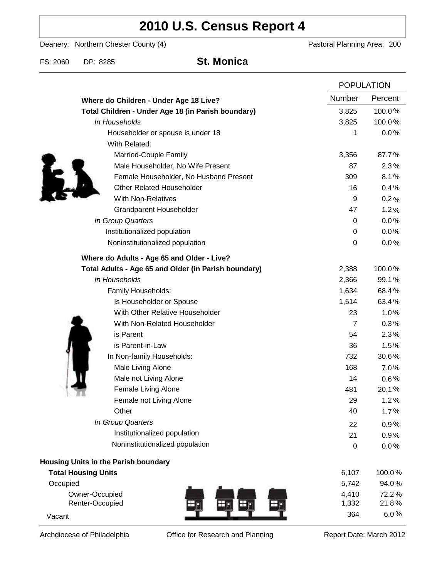# **2010 U.S. Census Report 4**

Deanery: Northern Chester County (4) Deanery: Northern Chester County (4)

FS: 2060 DP: 8285 **St. Monica**

|                                                      |                  | <b>POPULATION</b> |  |
|------------------------------------------------------|------------------|-------------------|--|
| Where do Children - Under Age 18 Live?               | Number           | Percent           |  |
| Total Children - Under Age 18 (in Parish boundary)   | 3,825            | 100.0%            |  |
| In Households                                        | 3,825            | 100.0%            |  |
| Householder or spouse is under 18                    | 1                | 0.0%              |  |
| With Related:                                        |                  |                   |  |
| Married-Couple Family                                | 3,356            | 87.7%             |  |
| Male Householder, No Wife Present                    | 87               | 2.3%              |  |
| Female Householder, No Husband Present               | 309              | 8.1%              |  |
| <b>Other Related Householder</b>                     | 16               | 0.4%              |  |
| <b>With Non-Relatives</b>                            | 9                | 0.2%              |  |
| Grandparent Householder                              | 47               | 1.2%              |  |
| In Group Quarters                                    | 0                | 0.0%              |  |
| Institutionalized population                         | 0                | 0.0%              |  |
| Noninstitutionalized population                      | $\boldsymbol{0}$ | 0.0%              |  |
| Where do Adults - Age 65 and Older - Live?           |                  |                   |  |
| Total Adults - Age 65 and Older (in Parish boundary) | 2,388            | 100.0%            |  |
| In Households                                        | 2,366            | 99.1%             |  |
| Family Households:                                   | 1,634            | 68.4%             |  |
| Is Householder or Spouse                             | 1,514            | 63.4%             |  |
| With Other Relative Householder                      | 23               | 1.0%              |  |
| With Non-Related Householder                         | $\overline{7}$   | 0.3%              |  |
| is Parent                                            | 54               | 2.3%              |  |
| is Parent-in-Law                                     | 36               | 1.5%              |  |
| In Non-family Households:                            | 732              | 30.6%             |  |
| Male Living Alone                                    | 168              | 7.0%              |  |
| Male not Living Alone                                | 14               | $0.6\%$           |  |
| Female Living Alone                                  | 481              | 20.1%             |  |
| Female not Living Alone                              | 29               | 1.2%              |  |
| Other                                                | 40               | 1.7%              |  |
| In Group Quarters                                    | 22               | 0.9%              |  |
| Institutionalized population                         | 21               | 0.9%              |  |
| Noninstitutionalized population                      | $\boldsymbol{0}$ | 0.0%              |  |
| Housing Units in the Parish boundary                 |                  |                   |  |
| <b>Total Housing Units</b>                           | 6,107            | 100.0%            |  |
| Occupied                                             | 5,742            | 94.0%             |  |
| Owner-Occupied                                       | 4,410            | 72.2%             |  |
| Renter-Occupied                                      | 1,332            | 21.8%             |  |
| Vacant                                               | 364              | 6.0%              |  |

Archdiocese of Philadelphia **Office for Research and Planning** Report Date: March 2012